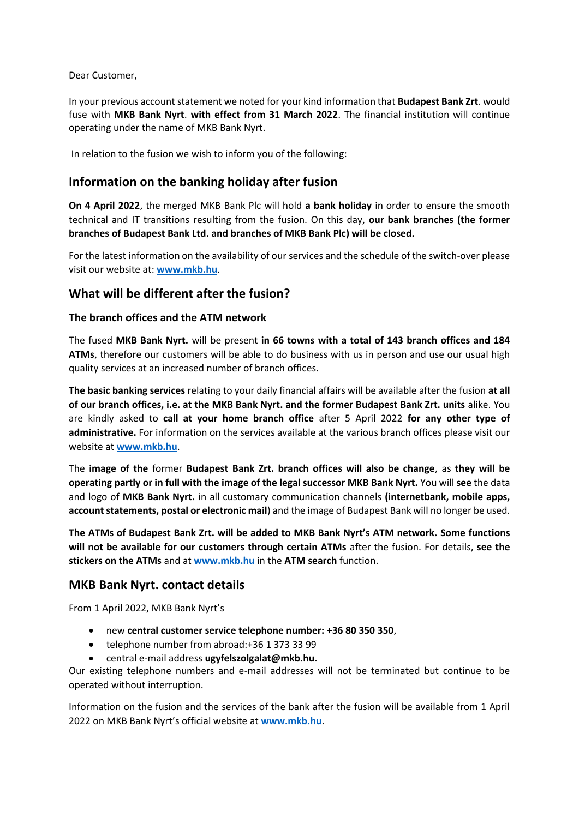Dear Customer,

In your previous account statement we noted for your kind information that **Budapest Bank Zrt**. would fuse with **MKB Bank Nyrt**. **with effect from 31 March 2022**. The financial institution will continue operating under the name of MKB Bank Nyrt.

In relation to the fusion we wish to inform you of the following:

## **Information on the banking holiday after fusion**

**On 4 April 2022**, the merged MKB Bank Plc will hold **a bank holiday** in order to ensure the smooth technical and IT transitions resulting from the fusion. On this day, **our bank branches (the former branches of Budapest Bank Ltd. and branches of MKB Bank Plc) will be closed.**

For the latest information on the availability of our services and the schedule of the switch-over please visit our website at: **[www.mkb.hu](http://www.mkb.hu/)**.

## **What will be different after the fusion?**

### **The branch offices and the ATM network**

The fused **MKB Bank Nyrt.** will be present **in 66 towns with a total of 143 branch offices and 184 ATMs**, therefore our customers will be able to do business with us in person and use our usual high quality services at an increased number of branch offices.

**The basic banking services** relating to your daily financial affairs will be available after the fusion **at all of our branch offices, i.e. at the MKB Bank Nyrt. and the former Budapest Bank Zrt. units** alike. You are kindly asked to **call at your home branch office** after 5 April 2022 **for any other type of administrative.** For information on the services available at the various branch offices please visit our website at **[www.mkb.hu](http://www.mkb.hu/)**.

The **image of the** former **Budapest Bank Zrt. branch offices will also be change**, as **they will be operating partly or in full with the image of the legal successor MKB Bank Nyrt.** You will **see** the data and logo of **MKB Bank Nyrt.** in all customary communication channels **(internetbank, mobile apps, account statements, postal or electronic mail**) and the image of Budapest Bank will no longer be used.

**The ATMs of Budapest Bank Zrt. will be added to MKB Bank Nyrt's ATM network. Some functions will not be available for our customers through certain ATMs** after the fusion. For details, **see the stickers on the ATMs** and at **[www.mkb.hu](http://www.mkb.hu/)** in the **ATM search** function.

## **MKB Bank Nyrt. contact details**

From 1 April 2022, MKB Bank Nyrt's

- new **central customer service telephone number: +36 80 350 350**,
- telephone number from abroad: + 36 1 373 33 99
- central e-mail address **[ugyfelszolgalat@mkb.hu](mailto:ugyfelszolgalat@mkb.hu.)**.

Our existing telephone numbers and e-mail addresses will not be terminated but continue to be operated without interruption.

Information on the fusion and the services of the bank after the fusion will be available from 1 April 2022 on MKB Bank Nyrt's official website at **[www.mkb.hu](http://www.mkb.hu/)**.